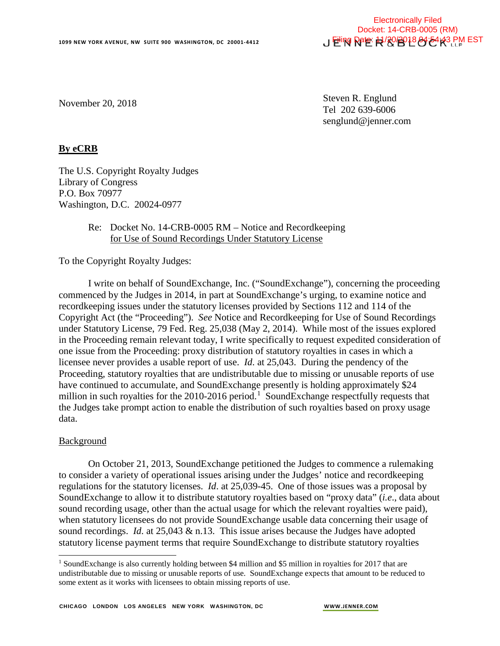November 20, 2018

Steven R. Englund Tel 202 639-6006 senglund@jenner.com

# **By eCRB**

The U.S. Copyright Royalty Judges Library of Congress P.O. Box 70977 Washington, D.C. 20024-0977

# Re: Docket No. 14-CRB-0005 RM – Notice and Recordkeeping for Use of Sound Recordings Under Statutory License

To the Copyright Royalty Judges:

I write on behalf of SoundExchange, Inc. ("SoundExchange"), concerning the proceeding commenced by the Judges in 2014, in part at SoundExchange's urging, to examine notice and recordkeeping issues under the statutory licenses provided by Sections 112 and 114 of the Copyright Act (the "Proceeding"). *See* Notice and Recordkeeping for Use of Sound Recordings under Statutory License, 79 Fed. Reg. 25,038 (May 2, 2014). While most of the issues explored in the Proceeding remain relevant today, I write specifically to request expedited consideration of one issue from the Proceeding: proxy distribution of statutory royalties in cases in which a licensee never provides a usable report of use. *Id*. at 25,043. During the pendency of the Proceeding, statutory royalties that are undistributable due to missing or unusable reports of use have continued to accumulate, and SoundExchange presently is holding approximately \$24 million in such royalties for the 20[1](#page-0-0)0-2016 period.<sup>1</sup> SoundExchange respectfully requests that the Judges take prompt action to enable the distribution of such royalties based on proxy usage data.

#### Background

j

On October 21, 2013, SoundExchange petitioned the Judges to commence a rulemaking to consider a variety of operational issues arising under the Judges' notice and recordkeeping regulations for the statutory licenses. *Id*. at 25,039-45. One of those issues was a proposal by SoundExchange to allow it to distribute statutory royalties based on "proxy data" (*i.e*., data about sound recording usage, other than the actual usage for which the relevant royalties were paid), when statutory licensees do not provide SoundExchange usable data concerning their usage of sound recordings. *Id*. at 25,043 & n.13. This issue arises because the Judges have adopted statutory license payment terms that require SoundExchange to distribute statutory royalties

<span id="page-0-0"></span><sup>&</sup>lt;sup>1</sup> SoundExchange is also currently holding between \$4 million and \$5 million in royalties for 2017 that are undistributable due to missing or unusable reports of use. SoundExchange expects that amount to be reduced to some extent as it works with licensees to obtain missing reports of use.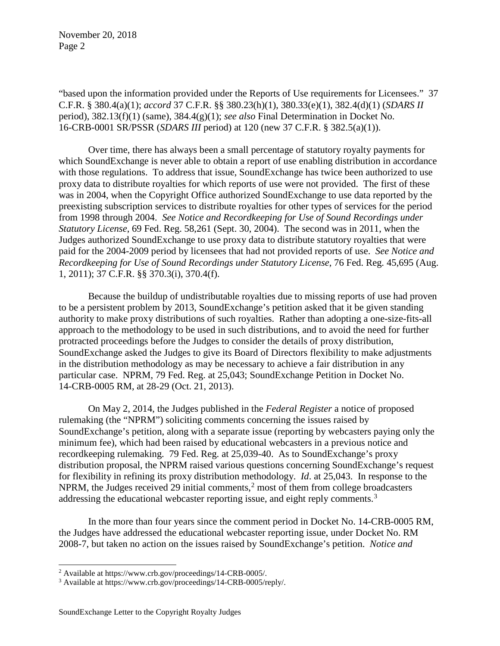"based upon the information provided under the Reports of Use requirements for Licensees." 37 C.F.R. § 380.4(a)(1); *accord* 37 C.F.R. §§ 380.23(h)(1), 380.33(e)(1), 382.4(d)(1) (*SDARS II* period), 382.13(f)(1) (same), 384.4(g)(1); *see also* Final Determination in Docket No. 16-CRB-0001 SR/PSSR (*SDARS III* period) at 120 (new 37 C.F.R. § 382.5(a)(1)).

Over time, there has always been a small percentage of statutory royalty payments for which SoundExchange is never able to obtain a report of use enabling distribution in accordance with those regulations. To address that issue, SoundExchange has twice been authorized to use proxy data to distribute royalties for which reports of use were not provided. The first of these was in 2004, when the Copyright Office authorized SoundExchange to use data reported by the preexisting subscription services to distribute royalties for other types of services for the period from 1998 through 2004. *See Notice and Recordkeeping for Use of Sound Recordings under Statutory License*, 69 Fed. Reg. 58,261 (Sept. 30, 2004). The second was in 2011, when the Judges authorized SoundExchange to use proxy data to distribute statutory royalties that were paid for the 2004-2009 period by licensees that had not provided reports of use. *See Notice and Recordkeeping for Use of Sound Recordings under Statutory License*, 76 Fed. Reg. 45,695 (Aug. 1, 2011); 37 C.F.R. §§ 370.3(i), 370.4(f).

Because the buildup of undistributable royalties due to missing reports of use had proven to be a persistent problem by 2013, SoundExchange's petition asked that it be given standing authority to make proxy distributions of such royalties. Rather than adopting a one-size-fits-all approach to the methodology to be used in such distributions, and to avoid the need for further protracted proceedings before the Judges to consider the details of proxy distribution, SoundExchange asked the Judges to give its Board of Directors flexibility to make adjustments in the distribution methodology as may be necessary to achieve a fair distribution in any particular case. NPRM, 79 Fed. Reg. at 25,043; SoundExchange Petition in Docket No. 14-CRB-0005 RM, at 28-29 (Oct. 21, 2013).

On May 2, 2014, the Judges published in the *Federal Register* a notice of proposed rulemaking (the "NPRM") soliciting comments concerning the issues raised by SoundExchange's petition, along with a separate issue (reporting by webcasters paying only the minimum fee), which had been raised by educational webcasters in a previous notice and recordkeeping rulemaking. 79 Fed. Reg. at 25,039-40. As to SoundExchange's proxy distribution proposal, the NPRM raised various questions concerning SoundExchange's request for flexibility in refining its proxy distribution methodology. *Id*. at 25,043. In response to the NPRM, the Judges received [2](#page-1-0)9 initial comments,<sup>2</sup> most of them from college broadcasters addressing the educational webcaster reporting issue, and eight reply comments.<sup>[3](#page-1-1)</sup>

In the more than four years since the comment period in Docket No. 14-CRB-0005 RM, the Judges have addressed the educational webcaster reporting issue, under Docket No. RM 2008-7, but taken no action on the issues raised by SoundExchange's petition. *Notice and* 

-

<span id="page-1-0"></span> $^2$  Available at https://www.crb.gov/proceedings/14-CRB-0005/.

<span id="page-1-1"></span><sup>3</sup> Available at https://www.crb.gov/proceedings/14-CRB-0005/reply/.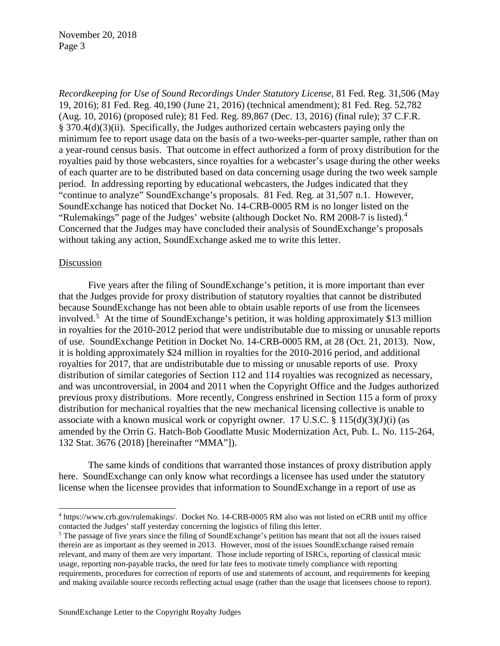*Recordkeeping for Use of Sound Recordings Under Statutory License*, 81 Fed. Reg. 31,506 (May 19, 2016); 81 Fed. Reg. 40,190 (June 21, 2016) (technical amendment); 81 Fed. Reg. 52,782 (Aug. 10, 2016) (proposed rule); 81 Fed. Reg. 89,867 (Dec. 13, 2016) (final rule); 37 C.F.R. § 370.4(d)(3)(ii). Specifically, the Judges authorized certain webcasters paying only the minimum fee to report usage data on the basis of a two-weeks-per-quarter sample, rather than on a year-round census basis. That outcome in effect authorized a form of proxy distribution for the royalties paid by those webcasters, since royalties for a webcaster's usage during the other weeks of each quarter are to be distributed based on data concerning usage during the two week sample period. In addressing reporting by educational webcasters, the Judges indicated that they "continue to analyze" SoundExchange's proposals. 81 Fed. Reg. at 31,507 n.1. However, SoundExchange has noticed that Docket No. 14-CRB-0005 RM is no longer listed on the "Rulemakings" page of the Judges' website (although Docket No. RM 2008-7 is listed).<sup>[4](#page-2-0)</sup> Concerned that the Judges may have concluded their analysis of SoundExchange's proposals without taking any action, SoundExchange asked me to write this letter.

### Discussion

Five years after the filing of SoundExchange's petition, it is more important than ever that the Judges provide for proxy distribution of statutory royalties that cannot be distributed because SoundExchange has not been able to obtain usable reports of use from the licensees involved.[5](#page-2-1) At the time of SoundExchange's petition, it was holding approximately \$13 million in royalties for the 2010-2012 period that were undistributable due to missing or unusable reports of use. SoundExchange Petition in Docket No. 14-CRB-0005 RM, at 28 (Oct. 21, 2013). Now, it is holding approximately \$24 million in royalties for the 2010-2016 period, and additional royalties for 2017, that are undistributable due to missing or unusable reports of use. Proxy distribution of similar categories of Section 112 and 114 royalties was recognized as necessary, and was uncontroversial, in 2004 and 2011 when the Copyright Office and the Judges authorized previous proxy distributions. More recently, Congress enshrined in Section 115 a form of proxy distribution for mechanical royalties that the new mechanical licensing collective is unable to associate with a known musical work or copyright owner. 17 U.S.C.  $\S$  115(d)(3)(J)(i) (as amended by the Orrin G. Hatch-Bob Goodlatte Music Modernization Act, Pub. L. No. 115-264, 132 Stat. 3676 (2018) [hereinafter "MMA"]).

The same kinds of conditions that warranted those instances of proxy distribution apply here. SoundExchange can only know what recordings a licensee has used under the statutory license when the licensee provides that information to SoundExchange in a report of use as

<span id="page-2-0"></span><sup>-</sup><sup>4</sup> https://www.crb.gov/rulemakings/. Docket No. 14-CRB-0005 RM also was not listed on eCRB until my office contacted the Judges' staff yesterday concerning the logistics of filing this letter.

<span id="page-2-1"></span><sup>&</sup>lt;sup>5</sup> The passage of five years since the filing of SoundExchange's petition has meant that not all the issues raised therein are as important as they seemed in 2013. However, most of the issues SoundExchange raised remain relevant, and many of them are very important. Those include reporting of ISRCs, reporting of classical music usage, reporting non-payable tracks, the need for late fees to motivate timely compliance with reporting requirements, procedures for correction of reports of use and statements of account, and requirements for keeping and making available source records reflecting actual usage (rather than the usage that licensees choose to report).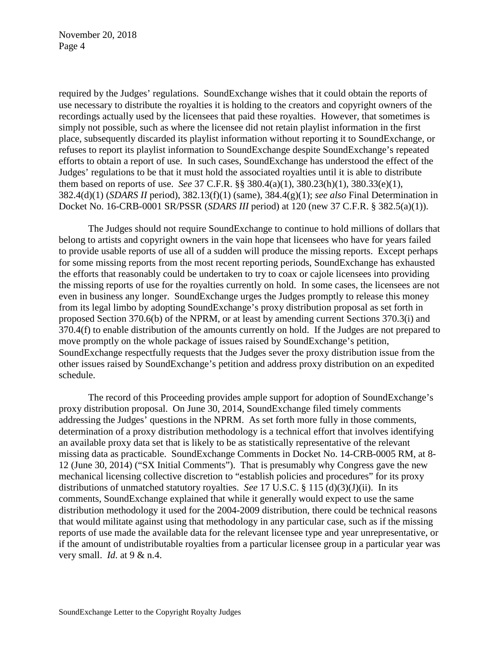required by the Judges' regulations. SoundExchange wishes that it could obtain the reports of use necessary to distribute the royalties it is holding to the creators and copyright owners of the recordings actually used by the licensees that paid these royalties. However, that sometimes is simply not possible, such as where the licensee did not retain playlist information in the first place, subsequently discarded its playlist information without reporting it to SoundExchange, or refuses to report its playlist information to SoundExchange despite SoundExchange's repeated efforts to obtain a report of use. In such cases, SoundExchange has understood the effect of the Judges' regulations to be that it must hold the associated royalties until it is able to distribute them based on reports of use. *See* 37 C.F.R. §§ 380.4(a)(1), 380.23(h)(1), 380.33(e)(1), 382.4(d)(1) (*SDARS II* period), 382.13(f)(1) (same), 384.4(g)(1); *see also* Final Determination in Docket No. 16-CRB-0001 SR/PSSR (*SDARS III* period) at 120 (new 37 C.F.R. § 382.5(a)(1)).

The Judges should not require SoundExchange to continue to hold millions of dollars that belong to artists and copyright owners in the vain hope that licensees who have for years failed to provide usable reports of use all of a sudden will produce the missing reports. Except perhaps for some missing reports from the most recent reporting periods, SoundExchange has exhausted the efforts that reasonably could be undertaken to try to coax or cajole licensees into providing the missing reports of use for the royalties currently on hold. In some cases, the licensees are not even in business any longer. SoundExchange urges the Judges promptly to release this money from its legal limbo by adopting SoundExchange's proxy distribution proposal as set forth in proposed Section 370.6(b) of the NPRM, or at least by amending current Sections 370.3(i) and 370.4(f) to enable distribution of the amounts currently on hold. If the Judges are not prepared to move promptly on the whole package of issues raised by SoundExchange's petition, SoundExchange respectfully requests that the Judges sever the proxy distribution issue from the other issues raised by SoundExchange's petition and address proxy distribution on an expedited schedule.

The record of this Proceeding provides ample support for adoption of SoundExchange's proxy distribution proposal. On June 30, 2014, SoundExchange filed timely comments addressing the Judges' questions in the NPRM. As set forth more fully in those comments, determination of a proxy distribution methodology is a technical effort that involves identifying an available proxy data set that is likely to be as statistically representative of the relevant missing data as practicable. SoundExchange Comments in Docket No. 14-CRB-0005 RM, at 8- 12 (June 30, 2014) ("SX Initial Comments"). That is presumably why Congress gave the new mechanical licensing collective discretion to "establish policies and procedures" for its proxy distributions of unmatched statutory royalties. *See* 17 U.S.C. § 115 (d)(3)(J)(ii). In its comments, SoundExchange explained that while it generally would expect to use the same distribution methodology it used for the 2004-2009 distribution, there could be technical reasons that would militate against using that methodology in any particular case, such as if the missing reports of use made the available data for the relevant licensee type and year unrepresentative, or if the amount of undistributable royalties from a particular licensee group in a particular year was very small. *Id*. at 9 & n.4.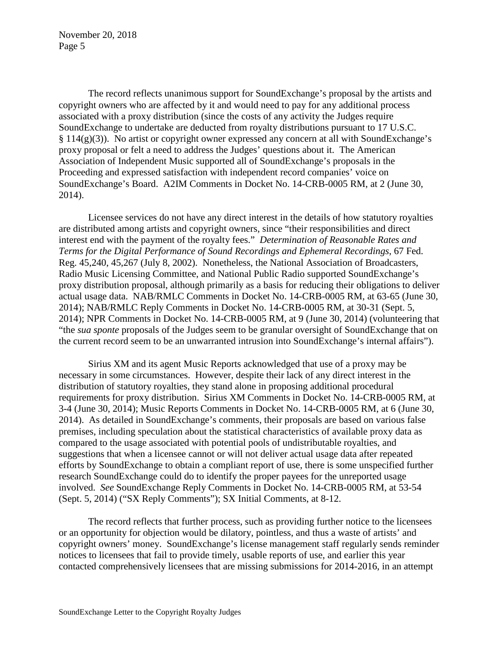The record reflects unanimous support for SoundExchange's proposal by the artists and copyright owners who are affected by it and would need to pay for any additional process associated with a proxy distribution (since the costs of any activity the Judges require SoundExchange to undertake are deducted from royalty distributions pursuant to 17 U.S.C. § 114(g)(3)). No artist or copyright owner expressed any concern at all with SoundExchange's proxy proposal or felt a need to address the Judges' questions about it. The American Association of Independent Music supported all of SoundExchange's proposals in the Proceeding and expressed satisfaction with independent record companies' voice on SoundExchange's Board. A2IM Comments in Docket No. 14-CRB-0005 RM, at 2 (June 30, 2014).

Licensee services do not have any direct interest in the details of how statutory royalties are distributed among artists and copyright owners, since "their responsibilities and direct interest end with the payment of the royalty fees." *Determination of Reasonable Rates and Terms for the Digital Performance of Sound Recordings and Ephemeral Recordings*, 67 Fed. Reg. 45,240, 45,267 (July 8, 2002). Nonetheless, the National Association of Broadcasters, Radio Music Licensing Committee, and National Public Radio supported SoundExchange's proxy distribution proposal, although primarily as a basis for reducing their obligations to deliver actual usage data. NAB/RMLC Comments in Docket No. 14-CRB-0005 RM, at 63-65 (June 30, 2014); NAB/RMLC Reply Comments in Docket No. 14-CRB-0005 RM, at 30-31 (Sept. 5, 2014); NPR Comments in Docket No. 14-CRB-0005 RM, at 9 (June 30, 2014) (volunteering that "the *sua sponte* proposals of the Judges seem to be granular oversight of SoundExchange that on the current record seem to be an unwarranted intrusion into SoundExchange's internal affairs").

Sirius XM and its agent Music Reports acknowledged that use of a proxy may be necessary in some circumstances. However, despite their lack of any direct interest in the distribution of statutory royalties, they stand alone in proposing additional procedural requirements for proxy distribution. Sirius XM Comments in Docket No. 14-CRB-0005 RM, at 3-4 (June 30, 2014); Music Reports Comments in Docket No. 14-CRB-0005 RM, at 6 (June 30, 2014). As detailed in SoundExchange's comments, their proposals are based on various false premises, including speculation about the statistical characteristics of available proxy data as compared to the usage associated with potential pools of undistributable royalties, and suggestions that when a licensee cannot or will not deliver actual usage data after repeated efforts by SoundExchange to obtain a compliant report of use, there is some unspecified further research SoundExchange could do to identify the proper payees for the unreported usage involved. *See* SoundExchange Reply Comments in Docket No. 14-CRB-0005 RM, at 53-54 (Sept. 5, 2014) ("SX Reply Comments"); SX Initial Comments, at 8-12.

The record reflects that further process, such as providing further notice to the licensees or an opportunity for objection would be dilatory, pointless, and thus a waste of artists' and copyright owners' money. SoundExchange's license management staff regularly sends reminder notices to licensees that fail to provide timely, usable reports of use, and earlier this year contacted comprehensively licensees that are missing submissions for 2014-2016, in an attempt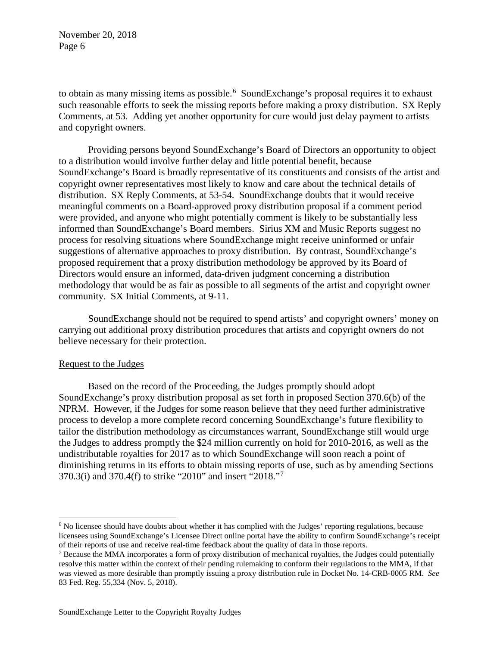to obtain as many missing items as possible.<sup>[6](#page-5-0)</sup> SoundExchange's proposal requires it to exhaust such reasonable efforts to seek the missing reports before making a proxy distribution. SX Reply Comments, at 53. Adding yet another opportunity for cure would just delay payment to artists and copyright owners.

Providing persons beyond SoundExchange's Board of Directors an opportunity to object to a distribution would involve further delay and little potential benefit, because SoundExchange's Board is broadly representative of its constituents and consists of the artist and copyright owner representatives most likely to know and care about the technical details of distribution. SX Reply Comments, at 53-54. SoundExchange doubts that it would receive meaningful comments on a Board-approved proxy distribution proposal if a comment period were provided, and anyone who might potentially comment is likely to be substantially less informed than SoundExchange's Board members. Sirius XM and Music Reports suggest no process for resolving situations where SoundExchange might receive uninformed or unfair suggestions of alternative approaches to proxy distribution. By contrast, SoundExchange's proposed requirement that a proxy distribution methodology be approved by its Board of Directors would ensure an informed, data-driven judgment concerning a distribution methodology that would be as fair as possible to all segments of the artist and copyright owner community. SX Initial Comments, at 9-11.

SoundExchange should not be required to spend artists' and copyright owners' money on carrying out additional proxy distribution procedures that artists and copyright owners do not believe necessary for their protection.

# Request to the Judges

j

Based on the record of the Proceeding, the Judges promptly should adopt SoundExchange's proxy distribution proposal as set forth in proposed Section 370.6(b) of the NPRM. However, if the Judges for some reason believe that they need further administrative process to develop a more complete record concerning SoundExchange's future flexibility to tailor the distribution methodology as circumstances warrant, SoundExchange still would urge the Judges to address promptly the \$24 million currently on hold for 2010-2016, as well as the undistributable royalties for 2017 as to which SoundExchange will soon reach a point of diminishing returns in its efforts to obtain missing reports of use, such as by amending Sections 370.3(i) and 370.4(f) to strike "2010" and insert "2018."[7](#page-5-1)

<span id="page-5-0"></span><sup>&</sup>lt;sup>6</sup> No licensee should have doubts about whether it has complied with the Judges' reporting regulations, because licensees using SoundExchange's Licensee Direct online portal have the ability to confirm SoundExchange's receipt of their reports of use and receive real-time feedback about the quality of data in those reports.

<span id="page-5-1"></span><sup>7</sup> Because the MMA incorporates a form of proxy distribution of mechanical royalties, the Judges could potentially resolve this matter within the context of their pending rulemaking to conform their regulations to the MMA, if that was viewed as more desirable than promptly issuing a proxy distribution rule in Docket No. 14-CRB-0005 RM. *See* 83 Fed. Reg. 55,334 (Nov. 5, 2018).